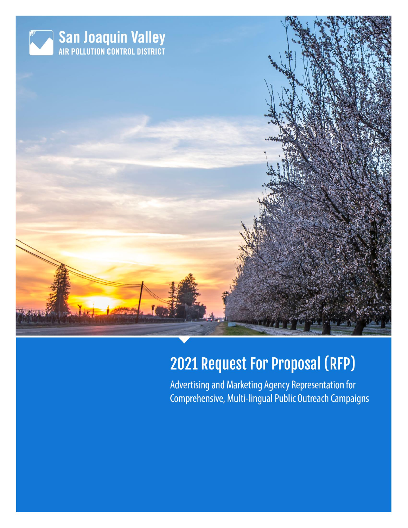

# **2021 Request For Proposal (RFP)**

Advertising and Marketing Agency Representation for Comprehensive, Multi-lingual Public Outreach Campaigns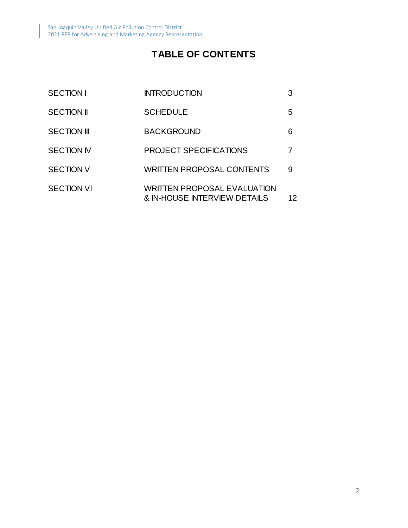# **TABLE OF CONTENTS**

| <b>SECTION I</b>   | <b>INTRODUCTION</b>                                                | 3  |
|--------------------|--------------------------------------------------------------------|----|
| <b>SECTION II</b>  | <b>SCHEDULE</b>                                                    | 5  |
| <b>SECTION III</b> | <b>BACKGROUND</b>                                                  | 6  |
| <b>SECTION IV</b>  | <b>PROJECT SPECIFICATIONS</b>                                      |    |
| <b>SECTION V</b>   | <b>WRITTEN PROPOSAL CONTENTS</b>                                   | 9  |
| <b>SECTION VI</b>  | <b>WRITTEN PROPOSAL EVALUATION</b><br>& IN-HOUSE INTERVIEW DETAILS | 12 |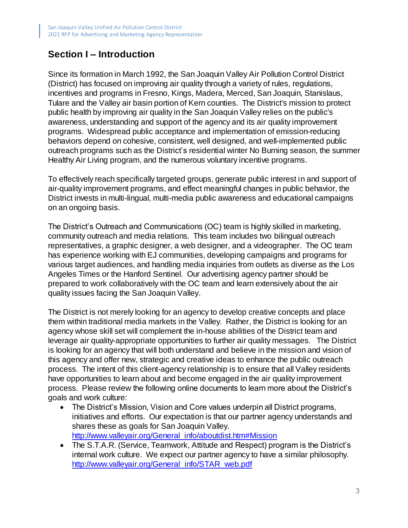## **Section I – Introduction**

Since its formation in March 1992, the San Joaquin Valley Air Pollution Control District (District) has focused on improving air quality through a variety of rules, regulations, incentives and programs in Fresno, Kings, Madera, Merced, San Joaquin, Stanislaus, Tulare and the Valley air basin portion of Kern counties. The District's mission to protect public health by improving air quality in the San Joaquin Valley relies on the public's awareness, understanding and support of the agency and its air quality improvement programs. Widespread public acceptance and implementation of emission-reducing behaviors depend on cohesive, consistent, well designed, and well-implemented public outreach programs such as the District's residential winter No Burning season, the summer Healthy Air Living program, and the numerous voluntary incentive programs.

To effectively reach specifically targeted groups, generate public interest in and support of air-quality improvement programs, and effect meaningful changes in public behavior, the District invests in multi-lingual, multi-media public awareness and educational campaigns on an ongoing basis.

The District's Outreach and Communications (OC) team is highly skilled in marketing, community outreach and media relations. This team includes two bilingual outreach representatives, a graphic designer, a web designer, and a videographer. The OC team has experience working with EJ communities, developing campaigns and programs for various target audiences, and handling media inquiries from outlets as diverse as the Los Angeles Times or the Hanford Sentinel. Our advertising agency partner should be prepared to work collaboratively with the OC team and learn extensively about the air quality issues facing the San Joaquin Valley.

The District is not merely looking for an agency to develop creative concepts and place them within traditional media markets in the Valley. Rather, the District is looking for an agency whose skill set will complement the in-house abilities of the District team and leverage air quality-appropriate opportunities to further air quality messages. The District is looking for an agency that will both understand and believe in the mission and vision of this agency and offer new, strategic and creative ideas to enhance the public outreach process. The intent of this client-agency relationship is to ensure that all Valley residents have opportunities to learn about and become engaged in the air quality improvement process. Please review the following online documents to learn more about the District's goals and work culture:

- The District's Mission, Vision and Core values underpin all District programs, initiatives and efforts. Our expectation is that our partner agency understands and shares these as goals for San Joaquin Valley. [http://www.valleyair.org/General\\_info/aboutdist.htm#Mission](http://www.valleyair.org/General_info/aboutdist.htm#Mission)
- The S.T.A.R. (Service, Teamwork, Attitude and Respect) program is the District's internal work culture. We expect our partner agency to have a similar philosophy. [http://www.valleyair.org/General\\_info/STAR\\_web.pdf](http://www.valleyair.org/General_info/STAR_web.pdf)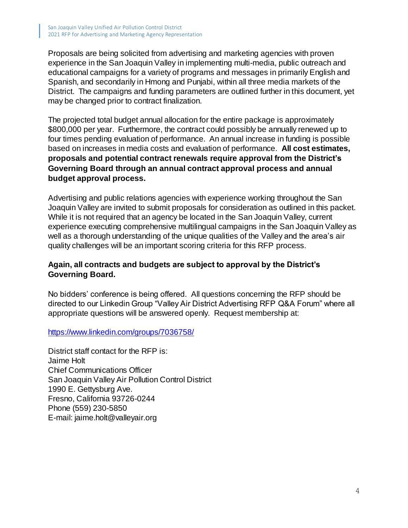Proposals are being solicited from advertising and marketing agencies with proven experience in the San Joaquin Valley in implementing multi-media, public outreach and educational campaigns for a variety of programs and messages in primarily English and Spanish, and secondarily in Hmong and Punjabi, within all three media markets of the District. The campaigns and funding parameters are outlined further in this document, yet may be changed prior to contract finalization.

The projected total budget annual allocation for the entire package is approximately \$800,000 per year. Furthermore, the contract could possibly be annually renewed up to four times pending evaluation of performance. An annual increase in funding is possible based on increases in media costs and evaluation of performance. **All cost estimates, proposals and potential contract renewals require approval from the District's Governing Board through an annual contract approval process and annual budget approval process.**

Advertising and public relations agencies with experience working throughout the San Joaquin Valley are invited to submit proposals for consideration as outlined in this packet. While it is not required that an agency be located in the San Joaquin Valley, current experience executing comprehensive multilingual campaigns in the San Joaquin Valley as well as a thorough understanding of the unique qualities of the Valley and the area's air quality challenges will be an important scoring criteria for this RFP process.

#### **Again, all contracts and budgets are subject to approval by the District's Governing Board.**

No bidders' conference is being offered. All questions concerning the RFP should be directed to our Linkedin Group "Valley Air District Advertising RFP Q&A Forum" where all appropriate questions will be answered openly. Request membership at:

<https://www.linkedin.com/groups/7036758/>

District staff contact for the RFP is: Jaime Holt Chief Communications Officer San Joaquin Valley Air Pollution Control District 1990 E. Gettysburg Ave. Fresno, California 93726-0244 Phone (559) 230-5850 E-mail: jaime.holt@valleyair.org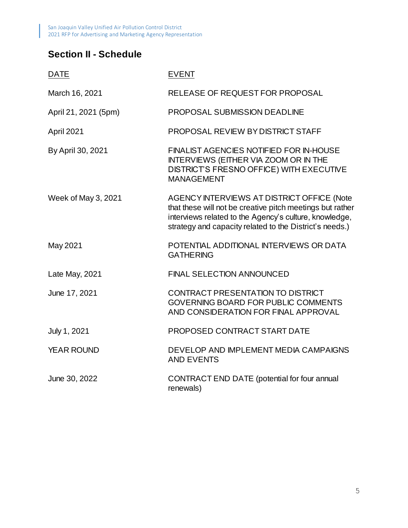## **Section II - Schedule**

| <b>DATE</b>          | <b>EVENT</b>                                                                                                                                                                                                                 |
|----------------------|------------------------------------------------------------------------------------------------------------------------------------------------------------------------------------------------------------------------------|
| March 16, 2021       | RELEASE OF REQUEST FOR PROPOSAL                                                                                                                                                                                              |
| April 21, 2021 (5pm) | <b>PROPOSAL SUBMISSION DEADLINE</b>                                                                                                                                                                                          |
| April 2021           | PROPOSAL REVIEW BY DISTRICT STAFF                                                                                                                                                                                            |
| By April 30, 2021    | <b>FINALIST AGENCIES NOTIFIED FOR IN-HOUSE</b><br><b>INTERVIEWS (EITHER VIA ZOOM OR IN THE</b><br>DISTRICT'S FRESNO OFFICE) WITH EXECUTIVE<br><b>MANAGEMENT</b>                                                              |
| Week of May 3, 2021  | AGENCY INTERVIEWS AT DISTRICT OFFICE (Note<br>that these will not be creative pitch meetings but rather<br>interviews related to the Agency's culture, knowledge,<br>strategy and capacity related to the District's needs.) |
| May 2021             | POTENTIAL ADDITIONAL INTERVIEWS OR DATA<br><b>GATHERING</b>                                                                                                                                                                  |
| Late May, 2021       | <b>FINAL SELECTION ANNOUNCED</b>                                                                                                                                                                                             |
| June 17, 2021        | CONTRACT PRESENTATION TO DISTRICT<br><b>GOVERNING BOARD FOR PUBLIC COMMENTS</b><br>AND CONSIDERATION FOR FINAL APPROVAL                                                                                                      |
| July 1, 2021         | PROPOSED CONTRACT START DATE                                                                                                                                                                                                 |
| <b>YEAR ROUND</b>    | DEVELOP AND IMPLEMENT MEDIA CAMPAIGNS<br><b>AND EVENTS</b>                                                                                                                                                                   |
| June 30, 2022        | CONTRACT END DATE (potential for four annual<br>renewals)                                                                                                                                                                    |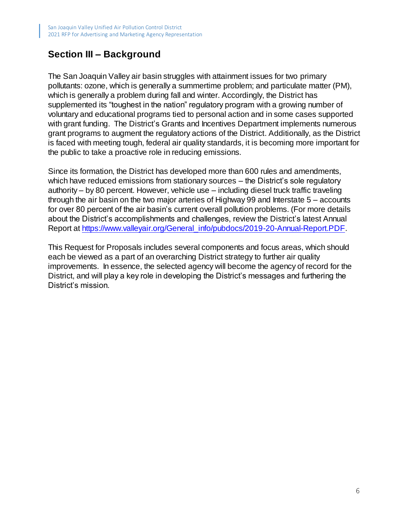#### **Section III – Background**

The San Joaquin Valley air basin struggles with attainment issues for two primary pollutants: ozone, which is generally a summertime problem; and particulate matter (PM), which is generally a problem during fall and winter. Accordingly, the District has supplemented its "toughest in the nation" regulatory program with a growing number of voluntary and educational programs tied to personal action and in some cases supported with grant funding. The District's Grants and Incentives Department implements numerous grant programs to augment the regulatory actions of the District. Additionally, as the District is faced with meeting tough, federal air quality standards, it is becoming more important for the public to take a proactive role in reducing emissions.

Since its formation, the District has developed more than 600 rules and amendments, which have reduced emissions from stationary sources – the District's sole regulatory authority – by 80 percent. However, vehicle use – including diesel truck traffic traveling through the air basin on the two major arteries of Highway 99 and Interstate 5 – accounts for over 80 percent of the air basin's current overall pollution problems. (For more details about the District's accomplishments and challenges, review the District's latest Annual Report at [https://www.valleyair.org/General\\_info/pubdocs/2019-20-Annual-Report.PDF.](https://www.valleyair.org/General_info/pubdocs/2019-20-Annual-Report.PDF)

This Request for Proposals includes several components and focus areas, which should each be viewed as a part of an overarching District strategy to further air quality improvements. In essence, the selected agency will become the agency of record for the District, and will play a key role in developing the District's messages and furthering the District's mission.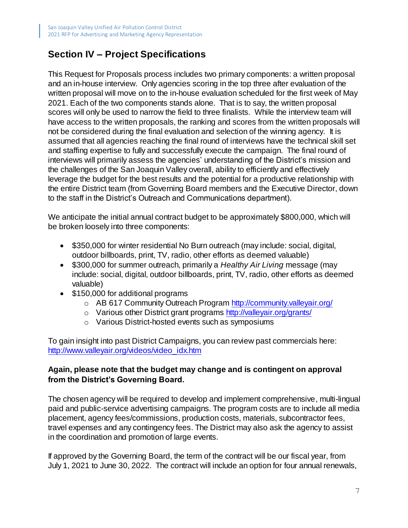### **Section IV – Project Specifications**

This Request for Proposals process includes two primary components: a written proposal and an in-house interview. Only agencies scoring in the top three after evaluation of the written proposal will move on to the in-house evaluation scheduled for the first week of May 2021. Each of the two components stands alone. That is to say, the written proposal scores will only be used to narrow the field to three finalists. While the interview team will have access to the written proposals, the ranking and scores from the written proposals will not be considered during the final evaluation and selection of the winning agency. It is assumed that all agencies reaching the final round of interviews have the technical skill set and staffing expertise to fully and successfully execute the campaign. The final round of interviews will primarily assess the agencies' understanding of the District's mission and the challenges of the San Joaquin Valley overall, ability to efficiently and effectively leverage the budget for the best results and the potential for a productive relationship with the entire District team (from Governing Board members and the Executive Director, down to the staff in the District's Outreach and Communications department).

We anticipate the initial annual contract budget to be approximately \$800,000, which will be broken loosely into three components:

- \$350,000 for winter residential No Burn outreach (may include: social, digital, outdoor billboards, print, TV, radio, other efforts as deemed valuable)
- \$300,000 for summer outreach, primarily a *Healthy Air Living* message (may include: social, digital, outdoor billboards, print, TV, radio, other efforts as deemed valuable)
- \$150,000 for additional programs
	- o AB 617 Community Outreach Program<http://community.valleyair.org/>
	- o Various other District grant programs <http://valleyair.org/grants/>
	- o Various District-hosted events such as symposiums

To gain insight into past District Campaigns, you can review past commercials here: [http://www.valleyair.org/videos/video\\_idx.htm](http://www.valleyair.org/videos/video_idx.htm)

#### **Again, please note that the budget may change and is contingent on approval from the District's Governing Board.**

The chosen agency will be required to develop and implement comprehensive, multi-lingual paid and public-service advertising campaigns. The program costs are to include all media placement, agency fees/commissions, production costs, materials, subcontractor fees, travel expenses and any contingency fees. The District may also ask the agency to assist in the coordination and promotion of large events.

If approved by the Governing Board, the term of the contract will be our fiscal year, from July 1, 2021 to June 30, 2022. The contract will include an option for four annual renewals,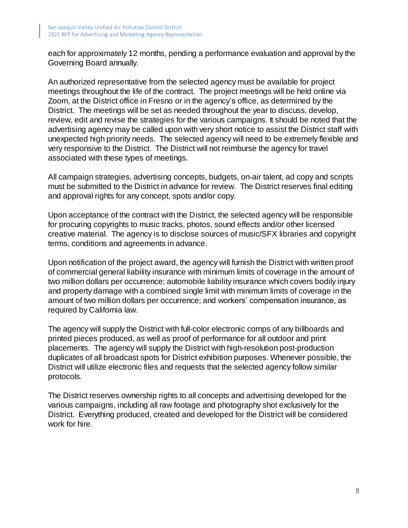each for approximately 12 months, pending a performance evaluation and approval by the Governing Board annually.

An authorized representative from the selected agency must be available for project meetings throughout the life of the contract. The project meetings will be held online via Zoom, at the District office in Fresno or in the agency's office, as determined by the District. The meetings will be set as needed throughout the year to discuss, develop, review, edit and revise the strategies for the various campaigns. It should be noted that the advertising agency may be called upon with very short notice to assist the District staff with unexpected high priority needs. The selected agency will need to be extremely flexible and very responsive to the District. The District will not reimburse the agency for travel associated with these types of meetings.

All campaign strategies, advertising concepts, budgets, on-air talent, ad copy and scripts must be submitted to the District in advance for review. The District reserves final editing and approval rights for any concept, spots and/or copy.

Upon acceptance of the contract with the District, the selected agency will be responsible for procuring copyrights to music tracks, photos, sound effects and/or other licensed creative material. The agency is to disclose sources of music/SFX libraries and copyright terms, conditions and agreements in advance.

Upon notification of the project award, the agency will furnish the District with written proof of commercial general liability insurance with minimum limits of coverage in the amount of two million dollars per occurrence; automobile liability insurance which covers bodily injury and property damage with a combined single limit with minimum limits of coverage in the amount of two million dollars per occurrence; and workers' compensation insurance, as required by California law.

The agency will supply the District with full-color electronic comps of any billboards and printed pieces produced, as well as proof of performance for all outdoor and print placements. The agency will supply the District with high-resolution post-production duplicates of all broadcast spots for District exhibition purposes. Whenever possible, the District will utilize electronic files and requests that the selected agency follow similar protocols.

The District reserves ownership rights to all concepts and advertising developed for the various campaigns, including all raw footage and photography shot exclusively for the District. Everything produced, created and developed for the District will be considered work for hire.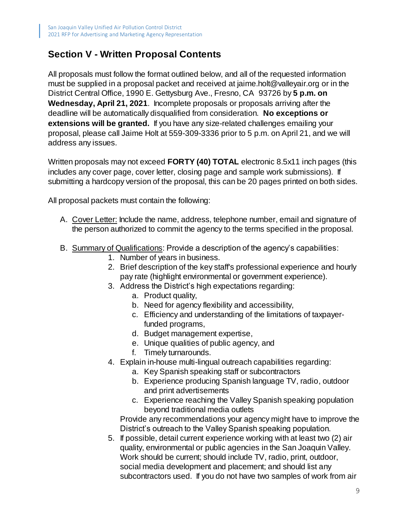#### **Section V - Written Proposal Contents**

All proposals must follow the format outlined below, and all of the requested information must be supplied in a proposal packet and received at jaime.holt@valleyair.org or in the District Central Office, 1990 E. Gettysburg Ave., Fresno, CA 93726 by **5 p.m. on Wednesday, April 21, 2021**. Incomplete proposals or proposals arriving after the deadline will be automatically disqualified from consideration. **No exceptions or extensions will be granted.** If you have any size-related challenges emailing your proposal, please call Jaime Holt at 559-309-3336 prior to 5 p.m. on April 21, and we will address any issues.

Written proposals may not exceed **FORTY (40) TOTAL** electronic 8.5x11 inch pages (this includes any cover page, cover letter, closing page and sample work submissions). If submitting a hardcopy version of the proposal, this can be 20 pages printed on both sides.

All proposal packets must contain the following:

- A. Cover Letter: Include the name, address, telephone number, email and signature of the person authorized to commit the agency to the terms specified in the proposal.
- B. Summary of Qualifications: Provide a description of the agency's capabilities:
	- 1. Number of years in business.
	- 2. Brief description of the key staff's professional experience and hourly pay rate (highlight environmental or government experience).
	- 3. Address the District's high expectations regarding:
		- a. Product quality,
		- b. Need for agency flexibility and accessibility,
		- c. Efficiency and understanding of the limitations of taxpayerfunded programs,
		- d. Budget management expertise,
		- e. Unique qualities of public agency, and
		- f. Timely turnarounds.
	- 4. Explain in-house multi-lingual outreach capabilities regarding:
		- a. Key Spanish speaking staff or subcontractors
		- b. Experience producing Spanish language TV, radio, outdoor and print advertisements
		- c. Experience reaching the Valley Spanish speaking population beyond traditional media outlets

Provide any recommendations your agency might have to improve the District's outreach to the Valley Spanish speaking population.

5. If possible, detail current experience working with at least two (2) air quality, environmental or public agencies in the San Joaquin Valley. Work should be current; should include TV, radio, print, outdoor, social media development and placement; and should list any subcontractors used. If you do not have two samples of work from air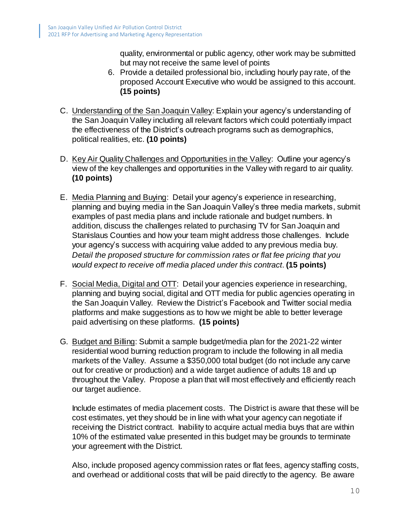quality, environmental or public agency, other work may be submitted but may not receive the same level of points

- 6. Provide a detailed professional bio, including hourly pay rate, of the proposed Account Executive who would be assigned to this account. **(15 points)**
- C. Understanding of the San Joaquin Valley: Explain your agency's understanding of the San Joaquin Valley including all relevant factors which could potentially impact the effectiveness of the District's outreach programs such as demographics, political realities, etc. **(10 points)**
- D. Key Air Quality Challenges and Opportunities in the Valley: Outline your agency's view of the key challenges and opportunities in the Valley with regard to air quality. **(10 points)**
- E. Media Planning and Buying: Detail your agency's experience in researching, planning and buying media in the San Joaquin Valley's three media markets, submit examples of past media plans and include rationale and budget numbers. In addition, discuss the challenges related to purchasing TV for San Joaquin and Stanislaus Counties and how your team might address those challenges. Include your agency's success with acquiring value added to any previous media buy. *Detail the proposed structure for commission rates or flat fee pricing that you would expect to receive off media placed under this contract*. **(15 points)**
- F. Social Media, Digital and OTT: Detail your agencies experience in researching, planning and buying social, digital and OTT media for public agencies operating in the San Joaquin Valley. Review the District's Facebook and Twitter social media platforms and make suggestions as to how we might be able to better leverage paid advertising on these platforms. **(15 points)**
- G. Budget and Billing: Submit a sample budget/media plan for the 2021-22 winter residential wood burning reduction program to include the following in all media markets of the Valley. Assume a \$350,000 total budget (do not include any carve out for creative or production) and a wide target audience of adults 18 and up throughout the Valley. Propose a plan that will most effectively and efficiently reach our target audience.

Include estimates of media placement costs. The District is aware that these will be cost estimates, yet they should be in line with what your agency can negotiate if receiving the District contract. Inability to acquire actual media buys that are within 10% of the estimated value presented in this budget may be grounds to terminate your agreement with the District.

Also, include proposed agency commission rates or flat fees, agency staffing costs, and overhead or additional costs that will be paid directly to the agency. Be aware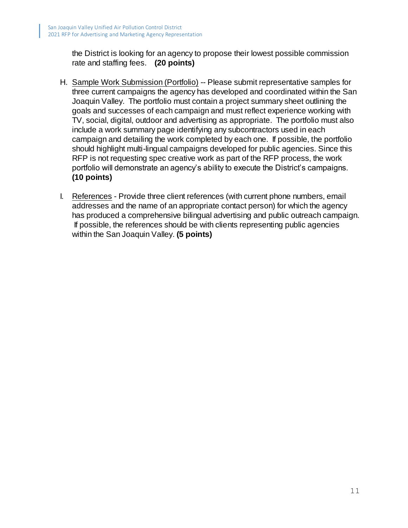the District is looking for an agency to propose their lowest possible commission rate and staffing fees. **(20 points)**

- H. Sample Work Submission (Portfolio) -- Please submit representative samples for three current campaigns the agency has developed and coordinated within the San Joaquin Valley. The portfolio must contain a project summary sheet outlining the goals and successes of each campaign and must reflect experience working with TV, social, digital, outdoor and advertising as appropriate. The portfolio must also include a work summary page identifying any subcontractors used in each campaign and detailing the work completed by each one. If possible, the portfolio should highlight multi-lingual campaigns developed for public agencies. Since this RFP is not requesting spec creative work as part of the RFP process, the work portfolio will demonstrate an agency's ability to execute the District's campaigns. **(10 points)**
- I. References Provide three client references (with current phone numbers, email addresses and the name of an appropriate contact person) for which the agency has produced a comprehensive bilingual advertising and public outreach campaign. If possible, the references should be with clients representing public agencies within the San Joaquin Valley. **(5 points)**